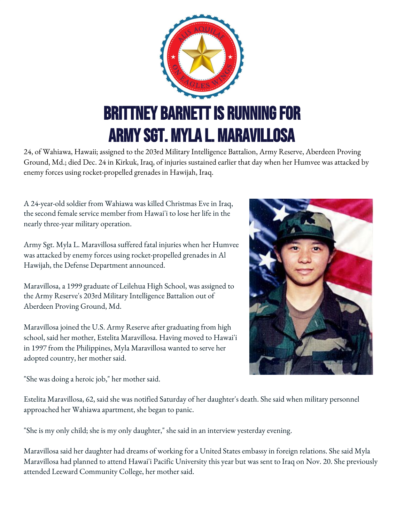

24, of Wahiawa, Hawaii; assigned to the 203rd Military Intelligence Battalion, Army Reserve, Aberdeen Proving Ground, Md.; died Dec. 24 in Kirkuk, Iraq, of injuries sustained earlier that day when her Humvee was attacked by enemy forces using rocket-propelled grenades in Hawijah, Iraq.

A 24-year-old soldier from Wahiawa was killed Christmas Eve in Iraq, the second female service member from Hawai'i to lose her life in the nearly three-year military operation.

Army Sgt. Myla L. Maravillosa suffered fatal injuries when her Humvee was attacked by enemy forces using rocket-propelled grenades in Al Hawijah, the Defense Department announced.

Maravillosa, a 1999 graduate of Leilehua High School, was assigned to the Army Reserve's 203rd Military Intelligence Battalion out of Aberdeen Proving Ground, Md.

Maravillosa joined the U.S. Army Reserve after graduating from high school, said her mother, Estelita Maravillosa. Having moved to Hawai'i in 1997 from the Philippines, Myla Maravillosa wanted to serve her adopted country, her mother said.



"She was doing a heroic job," her mother said.

Estelita Maravillosa, 62, said she was notified Saturday of her daughter's death. She said when military personnel approached her Wahiawa apartment, she began to panic.

"She is my only child; she is my only daughter," she said in an interview yesterday evening.

Maravillosa said her daughter had dreams of working for a United States embassy in foreign relations. She said Myla Maravillosa had planned to attend Hawai'i Pacific University this year but was sent to Iraq on Nov. 20. She previously attended Leeward Community College, her mother said.